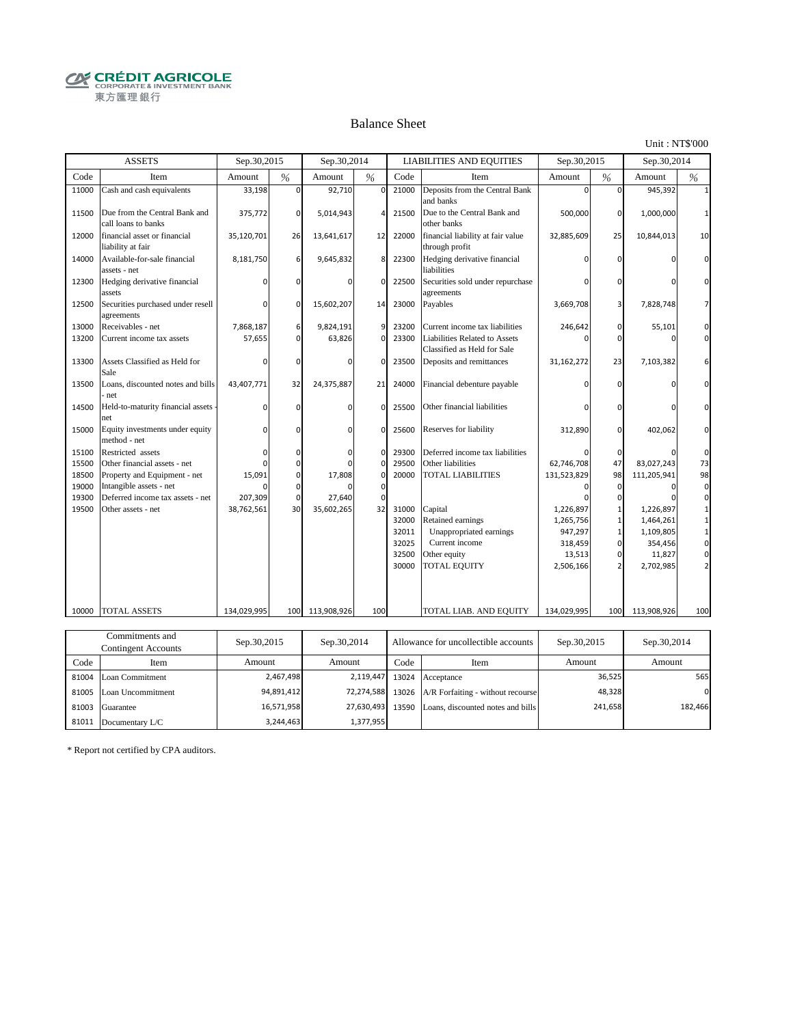**CRÉDIT AGRICOLE** 東方匯理銀行

#### Balance Sheet

Unit : NT\$'000

|       | <b>ASSETS</b>                                        | Sep.30,2015 |               | Sep.30,2014 |               |       | <b>LIABILITIES AND EQUITIES</b>                              | Sep.30,2015 |                | Sep.30,2014 |                |
|-------|------------------------------------------------------|-------------|---------------|-------------|---------------|-------|--------------------------------------------------------------|-------------|----------------|-------------|----------------|
| Code  | Item                                                 | Amount      | $\frac{9}{6}$ | Amount      | $\frac{0}{6}$ | Code  | Item                                                         | Amount      | %              | Amount      | %              |
| 11000 | Cash and cash equivalents                            | 33,198      | $\Omega$      | 92,710      | $\mathbf 0$   | 21000 | Deposits from the Central Bank<br>and banks                  | $\Omega$    | $\Omega$       | 945,392     |                |
| 11500 | Due from the Central Bank and<br>call loans to banks | 375,772     | $\Omega$      | 5,014,943   | 4             | 21500 | Due to the Central Bank and<br>other banks                   | 500,000     | $\mathbf 0$    | 1,000,000   |                |
| 12000 | financial asset or financial<br>liability at fair    | 35,120,701  | 26            | 13,641,617  | 12            | 22000 | financial liability at fair value<br>through profit          | 32,885,609  | 25             | 10,844,013  | 10             |
| 14000 | Available-for-sale financial<br>assets - net         | 8,181,750   | 6             | 9,645,832   | 8             | 22300 | Hedging derivative financial<br>liabilities                  |             | <sup>0</sup>   |             | $\Omega$       |
| 12300 | Hedging derivative financial<br>assets               |             | n             |             | $\Omega$      | 22500 | Securities sold under repurchase<br>agreements               |             | 0              |             | $\Omega$       |
| 12500 | Securities purchased under resell<br>agreements      |             | $\Omega$      | 15,602,207  | 14            | 23000 | Payables                                                     | 3,669,708   | 3              | 7,828,748   | 7              |
| 13000 | Receivables - net                                    | 7,868,187   | 6             | 9,824,191   | 9             | 23200 | Current income tax liabilities                               | 246,642     | $\mathbf 0$    | 55,101      | 0              |
| 13200 | Current income tax assets                            | 57,655      | $\Omega$      | 63,826      | $\Omega$      | 23300 | Liabilities Related to Assets<br>Classified as Held for Sale |             | $\Omega$       |             | $\Omega$       |
| 13300 | Assets Classified as Held for<br>Sale                |             | n             |             | $\Omega$      | 23500 | Deposits and remittances                                     | 31,162,272  | 23             | 7,103,382   | 6              |
| 13500 | Loans, discounted notes and bills<br>net             | 43,407,771  | 32            | 24,375,887  | 21            | 24000 | Financial debenture payable                                  |             | $\Omega$       |             | $\Omega$       |
| 14500 | Held-to-maturity financial assets<br>net             |             | $\Omega$      |             | $\Omega$      | 25500 | Other financial liabilities                                  |             |                |             | $\Omega$       |
| 15000 | Equity investments under equity<br>method - net      |             | $\Omega$      |             | $\Omega$      | 25600 | Reserves for liability                                       | 312,890     | $\Omega$       | 402,062     | $\Omega$       |
| 15100 | Restricted assets                                    |             | $\Omega$      |             | $\Omega$      | 29300 | Deferred income tax liabilities                              |             | $\Omega$       |             | $\mathbf 0$    |
| 15500 | Other financial assets - net                         |             | $\Omega$      |             | $\mathbf 0$   | 29500 | Other liabilities                                            | 62,746,708  | 47             | 83.027.243  | 73             |
| 18500 | Property and Equipment - net                         | 15,091      | 0             | 17,808      | $\mathbf 0$   | 20000 | <b>TOTAL LIABILITIES</b>                                     | 131,523,829 | 98             | 111,205,941 | 98             |
| 19000 | Intangible assets - net                              |             | n             |             | $\mathbf 0$   |       |                                                              |             | $\Omega$       | ŋ           | $\mathbf{0}$   |
| 19300 | Deferred income tax assets - net                     | 207,309     | $\Omega$      | 27,640      | $\mathbf 0$   |       |                                                              |             | $\mathbf 0$    |             | $\mathbf 0$    |
| 19500 | Other assets - net                                   | 38,762,561  | 30            | 35,602,265  | 32            | 31000 | Capital                                                      | 1,226,897   | $\mathbf{1}$   | 1,226,897   | $\mathbf{1}$   |
|       |                                                      |             |               |             |               | 32000 | Retained earnings                                            | 1,265,756   | $\mathbf{1}$   | 1,464,261   | $\mathbf{1}$   |
|       |                                                      |             |               |             |               | 32011 | Unappropriated earnings                                      | 947,297     | $\mathbf{1}$   | 1,109,805   | $\mathbf{1}$   |
|       |                                                      |             |               |             |               | 32025 | Current income                                               | 318,459     | $\mathbf{0}$   | 354,456     | $\overline{0}$ |
|       |                                                      |             |               |             |               | 32500 | Other equity                                                 | 13,513      | $\overline{0}$ | 11,827      | $\overline{0}$ |
|       |                                                      |             |               |             |               | 30000 | <b>TOTAL EQUITY</b>                                          | 2,506,166   | 2 <sup>1</sup> | 2,702,985   | $\overline{2}$ |
| 10000 | <b>TOTAL ASSETS</b>                                  | 134,029,995 | 100           | 113,908,926 | 100           |       | TOTAL LIAB. AND EQUITY                                       | 134,029,995 | 100            | 113,908,926 | 100            |
|       |                                                      |             |               |             |               |       |                                                              |             |                |             |                |
|       | Commitments and                                      |             |               |             |               |       |                                                              |             |                |             |                |

| Commitments and<br>Contingent Accounts |                         | Sep.30,2015 | Sep.30,2014<br>Allowance for uncollectible accounts |      | Sep.30,2015                                        | Sep.30,2014 |                |
|----------------------------------------|-------------------------|-------------|-----------------------------------------------------|------|----------------------------------------------------|-------------|----------------|
| Code                                   | Item                    | Amount      | Amount                                              | Code | Item                                               | Amount      | Amount         |
|                                        | 81004 Loan Commitment   | 2,467,498   |                                                     |      | 2,119,447 13024 Acceptance                         | 36,525      | 565            |
|                                        | 81005 Loan Uncommitment | 94,891,412  |                                                     |      | 72,274,588 13026 A/R Forfaiting - without recourse | 48,328      | $\overline{0}$ |
| 81003                                  | Guarantee               | 16,571,958  |                                                     |      | 27,630,493 13590 Loans, discounted notes and bills | 241,658     | 182,466        |
| 81011                                  | Documentary L/C         | 3,244,463   | 1,377,955                                           |      |                                                    |             |                |

\* Report not certified by CPA auditors.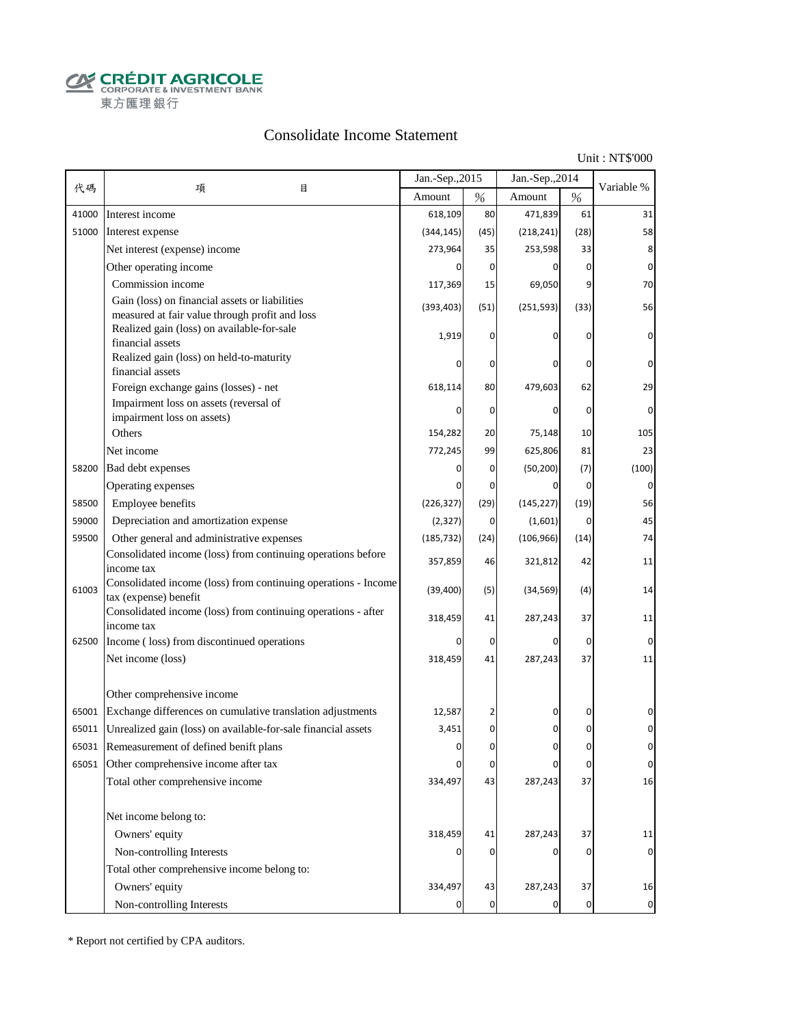**CALCOUT AGRICOLE**<br>
CORPORATE & INVESTMENT BANK<br>
東方匯理銀行

#### Consolidate Income Statement

Unit : NT\$'000

|       |                                                                                                  | Jan.-Sep., 2015 |      | Jan.-Sep., 2014 |                | Variable %  |
|-------|--------------------------------------------------------------------------------------------------|-----------------|------|-----------------|----------------|-------------|
| 代碼    | 項<br>目                                                                                           | Amount          | $\%$ | Amount          | $\%$           |             |
| 41000 | Interest income                                                                                  | 618,109         | 80   | 471,839         | 61             | 31          |
| 51000 | Interest expense                                                                                 | (344, 145)      | (45) | (218, 241)      | (28)           | 58          |
|       | Net interest (expense) income                                                                    | 273,964         | 35   | 253,598         | 33             | 8           |
|       | Other operating income                                                                           |                 | 0    |                 | $\Omega$       | $\mathbf 0$ |
|       | Commission income                                                                                | 117,369         | 15   | 69,050          | 9              | 70          |
|       | Gain (loss) on financial assets or liabilities<br>measured at fair value through profit and loss | (393, 403)      | (51) | (251, 593)      | (33)           | 56          |
|       | Realized gain (loss) on available-for-sale<br>financial assets                                   | 1,919           | 0    |                 | $\Omega$       | $\mathbf 0$ |
|       | Realized gain (loss) on held-to-maturity<br>financial assets                                     |                 | 0    | 0               | 0              | $\mathbf 0$ |
|       | Foreign exchange gains (losses) - net                                                            | 618,114         | 80   | 479,603         | 62             | 29          |
|       | Impairment loss on assets (reversal of                                                           |                 | 0    | $\Omega$        | $\mathbf 0$    | $\mathbf 0$ |
|       | impairment loss on assets)<br>Others                                                             | 154,282         | 20   | 75,148          | 10             | 105         |
|       | Net income                                                                                       | 772,245         | 99   | 625,806         | 81             | 23          |
| 58200 | Bad debt expenses                                                                                |                 | 0    | (50, 200)       | (7)            | (100)       |
|       | Operating expenses                                                                               |                 | 0    | 0               | $\overline{0}$ | $\mathbf 0$ |
| 58500 | Employee benefits                                                                                | (226, 327)      | (29) | (145, 227)      | (19)           | 56          |
| 59000 | Depreciation and amortization expense                                                            | (2, 327)        | 0    | (1,601)         | 0              | 45          |
| 59500 | Other general and administrative expenses                                                        | (185, 732)      | (24) | (106, 966)      | (14)           | 74          |
|       | Consolidated income (loss) from continuing operations before                                     |                 |      |                 |                |             |
|       | income tax                                                                                       | 357,859         | 46   | 321,812         | 42             | 11          |
| 61003 | Consolidated income (loss) from continuing operations - Income<br>tax (expense) benefit          | (39, 400)       | (5)  | (34, 569)       | (4)            | 14          |
|       | Consolidated income (loss) from continuing operations - after<br>income tax                      | 318,459         | 41   | 287,243         | 37             | 11          |
|       | 62500 Income (loss) from discontinued operations                                                 |                 | 0    | $\Omega$        | 0              | $\mathbf 0$ |
|       | Net income (loss)                                                                                | 318,459         | 41   | 287,243         | 37             | 11          |
|       | Other comprehensive income                                                                       |                 |      |                 |                |             |
|       | 65001 Exchange differences on cumulative translation adjustments                                 | 12,587          |      | 0               | 0              | 0           |
| 65011 | Unrealized gain (loss) on available-for-sale financial assets                                    | 3,451           | 0    | 0               | 0              | 0           |
|       | 65031 Remeasurement of defined benift plans                                                      | O               | 0    | U               | $\Omega$       | n           |
|       | 65051 Other comprehensive income after tax                                                       |                 | 0    | 0               | 0              | $\mathbf 0$ |
|       | Total other comprehensive income                                                                 | 334,497         | 43   | 287,243         | 37             | 16          |
|       | Net income belong to:                                                                            |                 |      |                 |                |             |
|       | Owners' equity                                                                                   | 318,459         | 41   | 287,243         | 37             | 11          |
|       | Non-controlling Interests                                                                        |                 | 0    | 0               | $\mathbf 0$    | $\mathbf 0$ |
|       | Total other comprehensive income belong to:                                                      |                 |      |                 |                |             |
|       | Owners' equity                                                                                   | 334,497         | 43   | 287,243         | 37             | 16          |
|       | Non-controlling Interests                                                                        |                 | 0    |                 | $\overline{0}$ | 0           |

\* Report not certified by CPA auditors.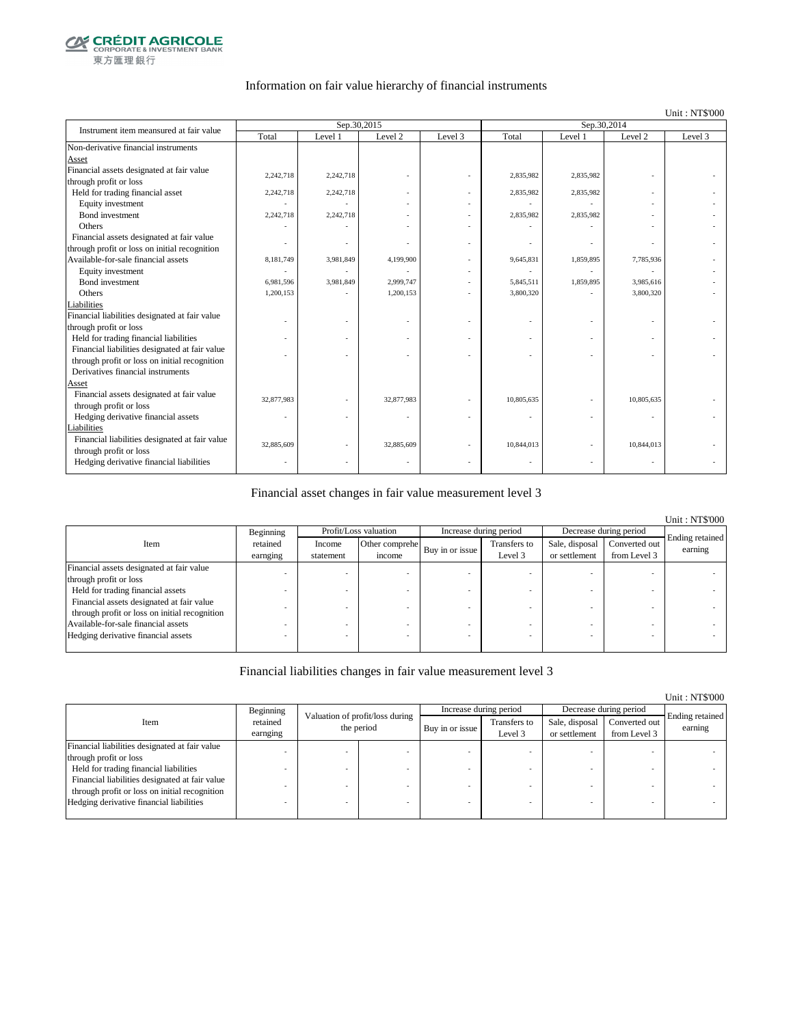

#### Information on fair value hierarchy of financial instruments

#### Unit : NT\$'000

| Instrument item meansured at fair value        |            | Sep.30,2015 |            |         | Sep.30,2014 |                          |            |         |  |
|------------------------------------------------|------------|-------------|------------|---------|-------------|--------------------------|------------|---------|--|
|                                                | Total      | Level 1     | Level 2    | Level 3 | Total       | Level 1                  | Level 2    | Level 3 |  |
| Non-derivative financial instruments           |            |             |            |         |             |                          |            |         |  |
| Asset                                          |            |             |            |         |             |                          |            |         |  |
| Financial assets designated at fair value      | 2,242,718  | 2,242,718   |            |         | 2,835,982   | 2,835,982                |            |         |  |
| through profit or loss                         |            |             |            |         |             |                          |            |         |  |
| Held for trading financial asset               | 2,242,718  | 2,242,718   |            |         | 2,835,982   | 2,835,982                |            |         |  |
| Equity investment                              |            |             |            |         |             |                          |            |         |  |
| <b>Bond</b> investment                         | 2,242,718  | 2,242,718   |            |         | 2,835,982   | 2,835,982                |            |         |  |
| Others                                         |            |             |            |         |             |                          |            |         |  |
| Financial assets designated at fair value      |            |             |            |         |             |                          |            |         |  |
| through profit or loss on initial recognition  |            |             |            |         |             |                          |            |         |  |
| Available-for-sale financial assets            | 8,181,749  | 3,981,849   | 4,199,900  |         | 9,645,831   | 1,859,895                | 7,785,936  |         |  |
| Equity investment                              |            |             |            |         |             |                          |            |         |  |
| Bond investment                                | 6,981,596  | 3,981,849   | 2,999,747  |         | 5,845,511   | 1,859,895                | 3,985,616  |         |  |
| Others                                         | 1,200,153  |             | 1,200,153  |         | 3,800,320   |                          | 3,800,320  |         |  |
| Liabilities                                    |            |             |            |         |             |                          |            |         |  |
| Financial liabilities designated at fair value |            |             |            |         |             |                          |            |         |  |
| through profit or loss                         |            |             |            |         |             |                          |            |         |  |
| Held for trading financial liabilities         |            |             |            |         |             | $\sim$                   |            |         |  |
| Financial liabilities designated at fair value |            |             |            |         |             |                          |            |         |  |
| through profit or loss on initial recognition  |            |             |            |         |             |                          |            |         |  |
| Derivatives financial instruments              |            |             |            |         |             |                          |            |         |  |
| Asset                                          |            |             |            |         |             |                          |            |         |  |
| Financial assets designated at fair value      | 32,877,983 |             | 32,877,983 | ÷,      | 10,805,635  |                          | 10,805,635 |         |  |
| through profit or loss                         |            |             |            |         |             |                          |            |         |  |
| Hedging derivative financial assets            |            |             |            |         |             | $\overline{\phantom{a}}$ | ÷,         |         |  |
| Liabilities                                    |            |             |            |         |             |                          |            |         |  |
| Financial liabilities designated at fair value | 32,885,609 |             | 32,885,609 |         | 10,844,013  |                          | 10,844,013 |         |  |
| through profit or loss                         |            |             |            |         |             |                          |            |         |  |
| Hedging derivative financial liabilities       |            |             |            |         |             | $\overline{\phantom{a}}$ |            |         |  |

#### Financial asset changes in fair value measurement level 3

|                                               |           |                                        |                       |                        |               |                        |               | <b>Unit: NT\$'000</b> |
|-----------------------------------------------|-----------|----------------------------------------|-----------------------|------------------------|---------------|------------------------|---------------|-----------------------|
|                                               | Beginning |                                        | Profit/Loss valuation | Increase during period |               | Decrease during period |               |                       |
| Item                                          | retained  | Income                                 | Other comprehe        |                        | Transfers to  | Sale, disposal         | Converted out | Ending retained       |
|                                               | earnging  | Buy in or issue<br>income<br>statement |                       | Level 3                | or settlement | from Level 3           | earning       |                       |
| Financial assets designated at fair value     |           |                                        |                       |                        |               |                        |               |                       |
| through profit or loss                        |           |                                        |                       |                        |               |                        |               |                       |
| Held for trading financial assets             |           |                                        |                       |                        |               |                        |               |                       |
| Financial assets designated at fair value     |           |                                        |                       |                        |               |                        |               |                       |
| through profit or loss on initial recognition |           |                                        |                       |                        |               |                        |               |                       |
| Available-for-sale financial assets           |           |                                        |                       |                        |               |                        |               |                       |
| Hedging derivative financial assets           |           |                                        |                       |                        |               |                        |               |                       |
|                                               |           |                                        |                       |                        |               |                        |               |                       |

#### Financial liabilities changes in fair value measurement level 3

|                                                |                      |                                               |                 |                         |                                 |                               | Unit: NT\$'000             |
|------------------------------------------------|----------------------|-----------------------------------------------|-----------------|-------------------------|---------------------------------|-------------------------------|----------------------------|
|                                                | Beginning            |                                               |                 | Increase during period  |                                 | Decrease during period        |                            |
| Item                                           | retained<br>earnging | Valuation of profit/loss during<br>the period | Buy in or issue | Transfers to<br>Level 3 | Sale, disposal<br>or settlement | Converted out<br>from Level 3 | Ending retained<br>earning |
| Financial liabilities designated at fair value |                      |                                               |                 |                         |                                 |                               |                            |
| through profit or loss                         |                      |                                               |                 |                         |                                 |                               |                            |
| Held for trading financial liabilities         |                      |                                               |                 |                         |                                 |                               |                            |
| Financial liabilities designated at fair value |                      |                                               |                 |                         |                                 |                               |                            |
| through profit or loss on initial recognition  |                      |                                               |                 |                         |                                 |                               |                            |
| Hedging derivative financial liabilities       |                      |                                               |                 |                         |                                 | $\overline{\phantom{a}}$      |                            |
|                                                |                      |                                               |                 |                         |                                 |                               |                            |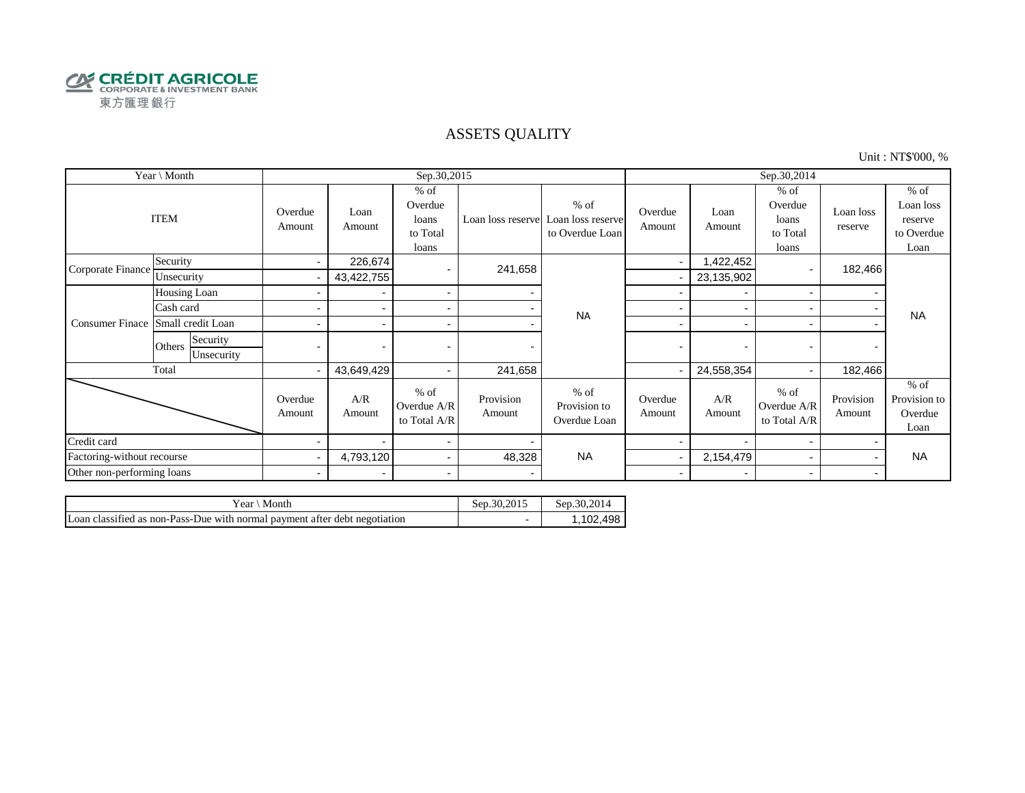

#### ASSETS QUALITY

Unit : NT\$'000, %

| Year \ Month               |                                  |                   |                          | Sep.30,2015                                     |                     |                                                | Sep.30,2014       |                          |                                                 |                      |                                                      |  |
|----------------------------|----------------------------------|-------------------|--------------------------|-------------------------------------------------|---------------------|------------------------------------------------|-------------------|--------------------------|-------------------------------------------------|----------------------|------------------------------------------------------|--|
|                            | <b>ITEM</b>                      | Overdue<br>Amount | Loan<br>Amount           | $%$ of<br>Overdue<br>loans<br>to Total<br>loans | Loan loss reserve   | $%$ of<br>Loan loss reserve<br>to Overdue Loan | Overdue<br>Amount | Loan<br>Amount           | $%$ of<br>Overdue<br>loans<br>to Total<br>loans | Loan loss<br>reserve | $%$ of<br>Loan loss<br>reserve<br>to Overdue<br>Loan |  |
| Corporate Finance          | Security                         | $\blacksquare$    | 226,674                  |                                                 | 241,658             |                                                |                   | 1,422,452                |                                                 | 182,466              |                                                      |  |
|                            | Unsecurity                       |                   | 43,422,755               |                                                 |                     |                                                |                   | 23,135,902               |                                                 |                      |                                                      |  |
|                            | Housing Loan                     |                   | $\blacksquare$           | $\blacksquare$                                  |                     | <b>NA</b>                                      |                   |                          |                                                 |                      |                                                      |  |
|                            | Cash card                        |                   | $\overline{a}$           | $\blacksquare$                                  |                     |                                                |                   |                          |                                                 |                      | <b>NA</b>                                            |  |
| <b>Consumer Finace</b>     | Small credit Loan                |                   |                          | $\blacksquare$                                  |                     |                                                |                   |                          |                                                 |                      |                                                      |  |
|                            | Security<br>Others<br>Unsecurity |                   | $\overline{a}$           | $\overline{a}$                                  |                     |                                                |                   | $\overline{\phantom{0}}$ |                                                 |                      |                                                      |  |
|                            | Total                            |                   | 43,649,429               | $\blacksquare$                                  | 241,658             |                                                |                   | 24,558,354               |                                                 | 182,466              |                                                      |  |
|                            |                                  | Overdue<br>Amount | A/R<br>Amount            | $%$ of<br>Overdue A/R<br>to Total A/R           | Provision<br>Amount | $%$ of<br>Provision to<br>Overdue Loan         | Overdue<br>Amount | A/R<br>Amount            | $%$ of<br>Overdue A/R<br>to Total A/R           | Provision<br>Amount  | $%$ of<br>Provision to<br>Overdue<br>Loan            |  |
| Credit card                |                                  |                   |                          | $\blacksquare$                                  |                     |                                                |                   |                          |                                                 |                      |                                                      |  |
| Factoring-without recourse |                                  |                   | 4,793,120                | $\blacksquare$                                  | 48,328              | <b>NA</b>                                      |                   | 2,154,479                |                                                 |                      | <b>NA</b>                                            |  |
| Other non-performing loans |                                  | $\blacksquare$    | $\overline{\phantom{0}}$ | $\blacksquare$                                  |                     |                                                | $\sim$            | $\overline{\phantom{0}}$ |                                                 | $\blacksquare$       |                                                      |  |

| r ear<br>Month                                                             | Sep.30.2015 | Sep.30.2014 |
|----------------------------------------------------------------------------|-------------|-------------|
| Loan classified as non-Pass-Due with normal payment after debt negotiation |             | .102.498    |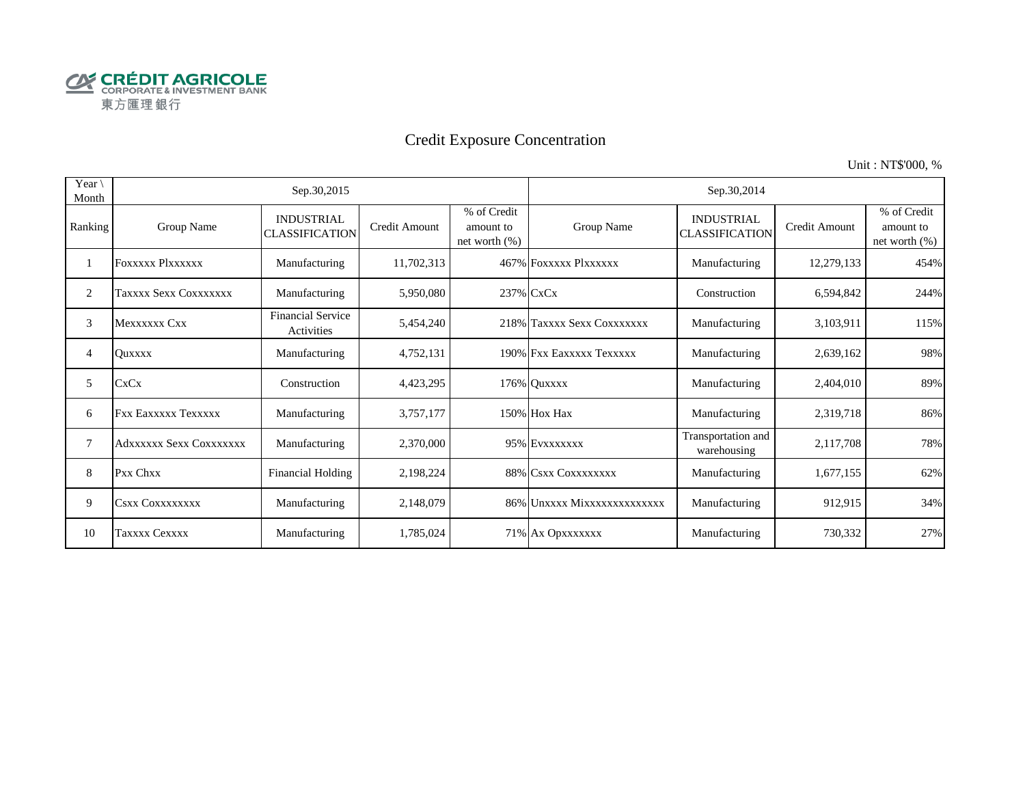

# Credit Exposure Concentration

Unit : NT\$'000, %

| Year $\setminus$<br>Month |                         | Sep.30,2015                                |               |                                               | Sep.30,2014                 |                                            |               |                                              |  |  |
|---------------------------|-------------------------|--------------------------------------------|---------------|-----------------------------------------------|-----------------------------|--------------------------------------------|---------------|----------------------------------------------|--|--|
| Ranking                   | Group Name              | <b>INDUSTRIAL</b><br><b>CLASSIFICATION</b> | Credit Amount | % of Credit<br>amount to<br>net worth $(\% )$ | Group Name                  | <b>INDUSTRIAL</b><br><b>CLASSIFICATION</b> | Credit Amount | % of Credit<br>amount to<br>net worth $(\%)$ |  |  |
|                           | <b>FOXXXXX PIXXXXXX</b> | Manufacturing                              | 11,702,313    |                                               | 467% FOXXXXX PlXXXXXX       | Manufacturing                              | 12,279,133    | 454%                                         |  |  |
| 2                         | Taxxxx Sexx Coxxxxxxx   | Manufacturing                              | 5,950,080     |                                               | 237% CxCx                   | Construction                               | 6,594,842     | 244%                                         |  |  |
| 3                         | Mexxxxxx Cxx            | <b>Financial Service</b><br>Activities     | 5,454,240     |                                               | 218% Taxxxx Sexx Coxxxxxxx  | Manufacturing                              | 3,103,911     | 115%                                         |  |  |
| 4                         | <b>Ouxxxx</b>           | Manufacturing                              | 4,752,131     |                                               | 190% Fxx Eaxxxxx Texxxxx    | Manufacturing                              | 2,639,162     | 98%                                          |  |  |
| 5                         | CxCx                    | Construction                               | 4,423,295     |                                               | 176% Quxxxx                 | Manufacturing                              | 2,404,010     | 89%                                          |  |  |
| 6                         | FXX Eaxxxxx Texxxxx     | Manufacturing                              | 3,757,177     |                                               | 150% Hox Hax                | Manufacturing                              | 2,319,718     | 86%                                          |  |  |
| 7                         | Adxxxxxx Sexx Coxxxxxxx | Manufacturing                              | 2,370,000     |                                               | 95% EVXXXXXXX               | Transportation and<br>warehousing          | 2,117,708     | 78%                                          |  |  |
| 8                         | Pxx Chxx                | <b>Financial Holding</b>                   | 2,198,224     |                                               | 88% CSXX COXXXXXXXX         | Manufacturing                              | 1,677,155     | 62%                                          |  |  |
| 9                         | <b>CSXX COXXXXXXXX</b>  | Manufacturing                              | 2,148,079     |                                               | 86% Unxxxx Mixxxxxxxxxxxxxx | Manufacturing                              | 912,915       | 34%                                          |  |  |
| 10                        | <b>Taxxxx Cexxxx</b>    | Manufacturing                              | 1,785,024     |                                               | 71% Ax Opxxxxxxx            | Manufacturing                              | 730,332       | 27%                                          |  |  |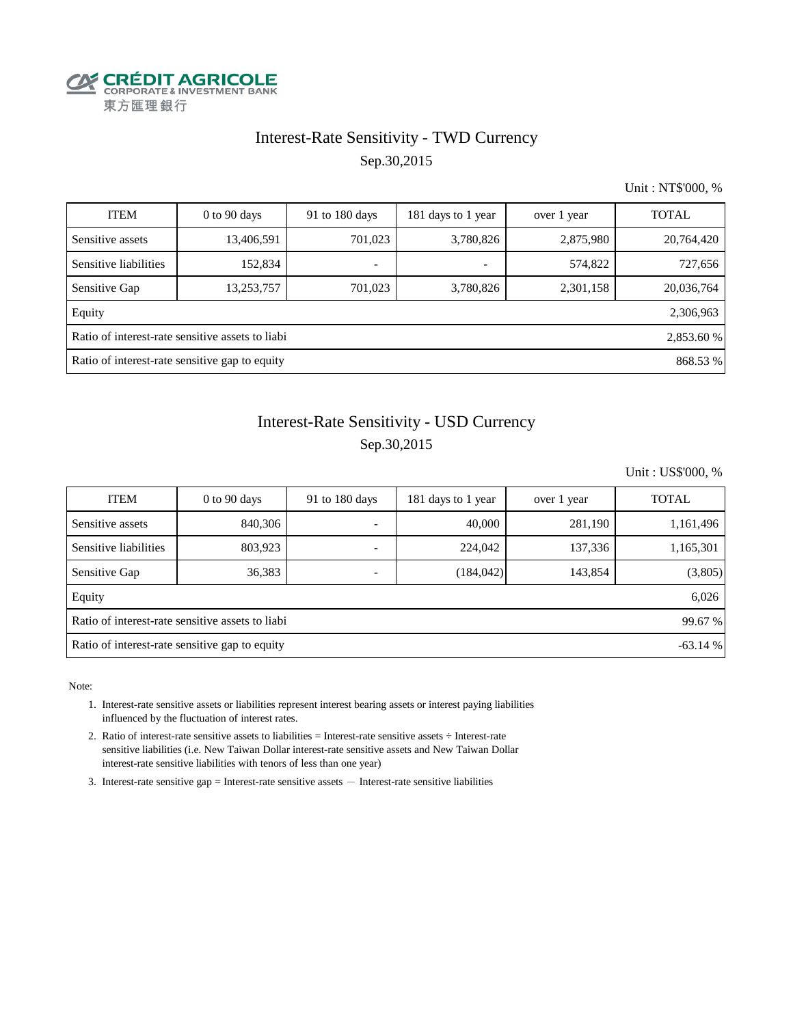

## Interest-Rate Sensitivity - TWD Currency Sep.30,2015

Unit : NT\$'000, %

| <b>ITEM</b>           | $0$ to $90$ days                                               | 91 to 180 days           | 181 days to 1 year       | over 1 year | <b>TOTAL</b> |  |  |  |  |  |
|-----------------------|----------------------------------------------------------------|--------------------------|--------------------------|-------------|--------------|--|--|--|--|--|
| Sensitive assets      | 13,406,591                                                     | 701,023                  | 3,780,826                | 2,875,980   | 20,764,420   |  |  |  |  |  |
| Sensitive liabilities | 152,834                                                        | $\overline{\phantom{0}}$ | $\overline{\phantom{a}}$ | 574,822     | 727,656      |  |  |  |  |  |
| Sensitive Gap         | 13,253,757                                                     | 701,023                  | 3,780,826                | 2,301,158   | 20,036,764   |  |  |  |  |  |
| Equity                |                                                                |                          |                          |             | 2,306,963    |  |  |  |  |  |
|                       | Ratio of interest-rate sensitive assets to liabi<br>2,853.60 % |                          |                          |             |              |  |  |  |  |  |
|                       | Ratio of interest-rate sensitive gap to equity<br>868.53 %     |                          |                          |             |              |  |  |  |  |  |

## Sep.30,2015 Interest-Rate Sensitivity - USD Currency

Unit : US\$'000, %

| <b>ITEM</b>                                                 | $0$ to 90 days | 91 to $180$ days | 181 days to 1 year | over 1 year | <b>TOTAL</b> |  |  |  |  |
|-------------------------------------------------------------|----------------|------------------|--------------------|-------------|--------------|--|--|--|--|
| Sensitive assets                                            | 840,306        |                  | 40,000             | 281,190     | 1,161,496    |  |  |  |  |
| Sensitive liabilities                                       | 803,923        |                  | 224,042            | 137,336     | 1,165,301    |  |  |  |  |
| Sensitive Gap                                               | 36,383         |                  | (184, 042)         | 143,854     | (3,805)      |  |  |  |  |
| Equity                                                      |                |                  |                    |             | 6,026        |  |  |  |  |
| Ratio of interest-rate sensitive assets to liabi<br>99.67 % |                |                  |                    |             |              |  |  |  |  |
| Ratio of interest-rate sensitive gap to equity<br>$-63.14%$ |                |                  |                    |             |              |  |  |  |  |

Note:

- 1. Interest-rate sensitive assets or liabilities represent interest bearing assets or interest paying liabilities influenced by the fluctuation of interest rates.
- 2. Ratio of interest-rate sensitive assets to liabilities = Interest-rate sensitive assets ÷ Interest-rate sensitive liabilities (i.e. New Taiwan Dollar interest-rate sensitive assets and New Taiwan Dollar interest-rate sensitive liabilities with tenors of less than one year)
- 3. Interest-rate sensitive gap = Interest-rate sensitive assets  $-$  Interest-rate sensitive liabilities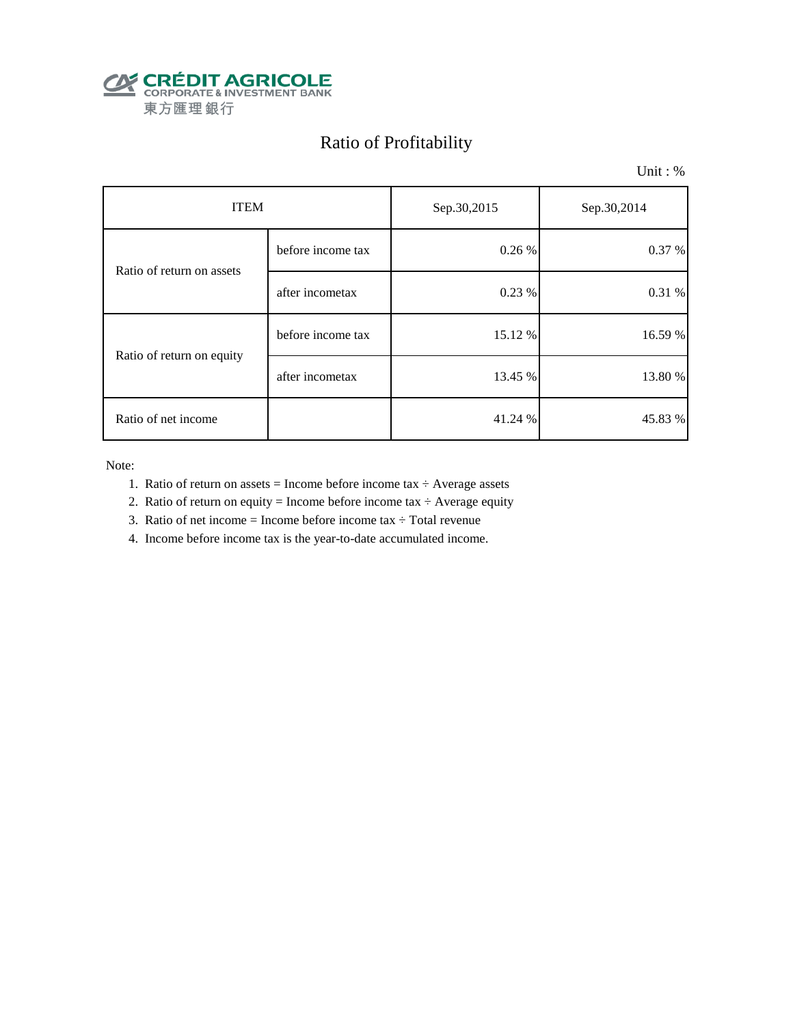

# Ratio of Profitability

Unit : %

| <b>ITEM</b>               |                   | Sep.30,2015 | Sep.30,2014 |  |
|---------------------------|-------------------|-------------|-------------|--|
| Ratio of return on assets | before income tax | 0.26 %      | 0.37 %      |  |
|                           | after incometax   | 0.23 %      | 0.31%       |  |
| Ratio of return on equity | before income tax | 15.12%      | 16.59 %     |  |
|                           | after incometax   | 13.45 %     | 13.80 %     |  |
| Ratio of net income       |                   | 41.24 %     | 45.83 %     |  |

Note:

- 1. Ratio of return on assets = Income before income tax  $\div$  Average assets
- 2. Ratio of return on equity = Income before income tax  $\div$  Average equity
- 3. Ratio of net income = Income before income tax  $\div$  Total revenue
- 4. Income before income tax is the year-to-date accumulated income.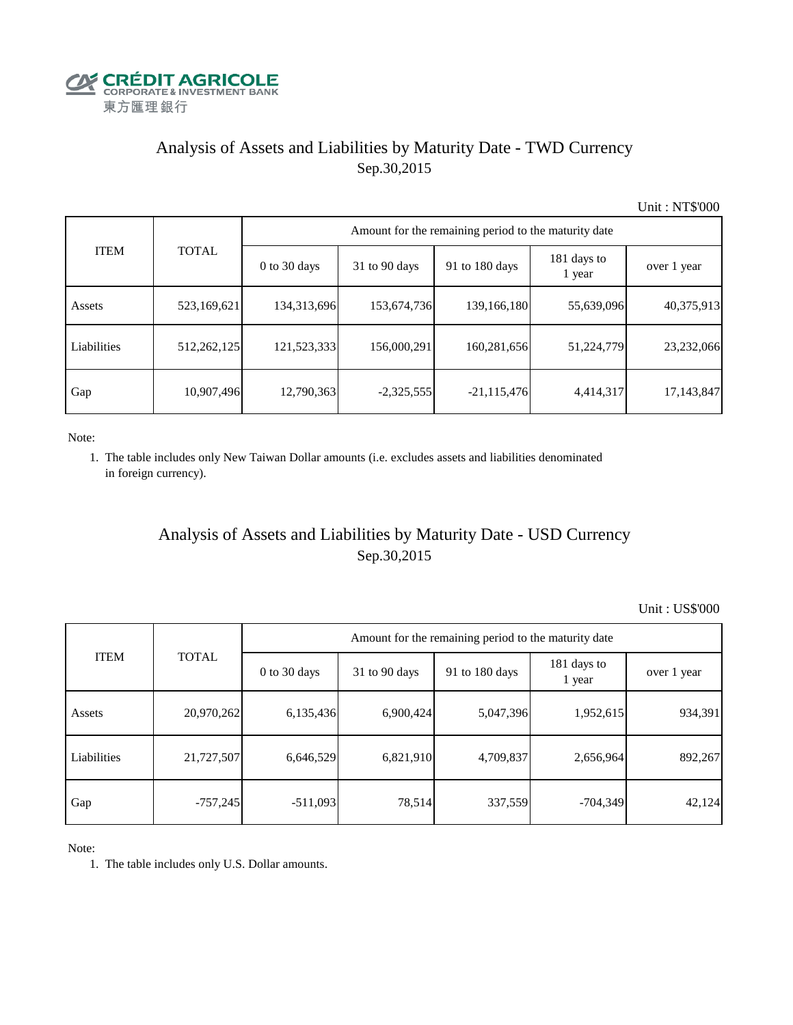

## Analysis of Assets and Liabilities by Maturity Date - TWD Currency Sep.30,2015

Unit : NT\$'000

| <b>ITEM</b> | <b>TOTAL</b> | Amount for the remaining period to the maturity date |                 |                |                       |             |  |  |  |
|-------------|--------------|------------------------------------------------------|-----------------|----------------|-----------------------|-------------|--|--|--|
|             |              | $0$ to 30 days                                       | $31$ to 90 days | 91 to 180 days | 181 days to<br>1 year | over 1 year |  |  |  |
| Assets      | 523,169,621  | 134,313,696                                          | 153,674,736     | 139,166,180    | 55,639,096            | 40,375,913  |  |  |  |
| Liabilities | 512,262,125  | 121,523,333                                          | 156,000,291     | 160,281,656    | 51,224,779            | 23,232,066  |  |  |  |
| Gap         | 10,907,496   | 12,790,363                                           | $-2,325,555$    | $-21,115,476$  | 4,414,317             | 17,143,847  |  |  |  |

Note:

 1. The table includes only New Taiwan Dollar amounts (i.e. excludes assets and liabilities denominated in foreign currency).

## Analysis of Assets and Liabilities by Maturity Date - USD Currency Sep.30,2015

Unit : US\$'000

| <b>ITEM</b> |              | Amount for the remaining period to the maturity date |                 |                |                       |             |  |  |  |
|-------------|--------------|------------------------------------------------------|-----------------|----------------|-----------------------|-------------|--|--|--|
|             | <b>TOTAL</b> | $0$ to 30 days                                       | $31$ to 90 days | 91 to 180 days | 181 days to<br>1 year | over 1 year |  |  |  |
| Assets      | 20,970,262   | 6,135,436                                            | 6,900,424       | 5,047,396      | 1,952,615             | 934,391     |  |  |  |
| Liabilities | 21,727,507   | 6,646,529                                            | 6,821,910       | 4,709,837      | 2,656,964             | 892,267     |  |  |  |
| Gap         | $-757,245$   | $-511,093$                                           | 78,514          | 337,559        | $-704,349$            | 42,124      |  |  |  |

Note:

1. The table includes only U.S. Dollar amounts.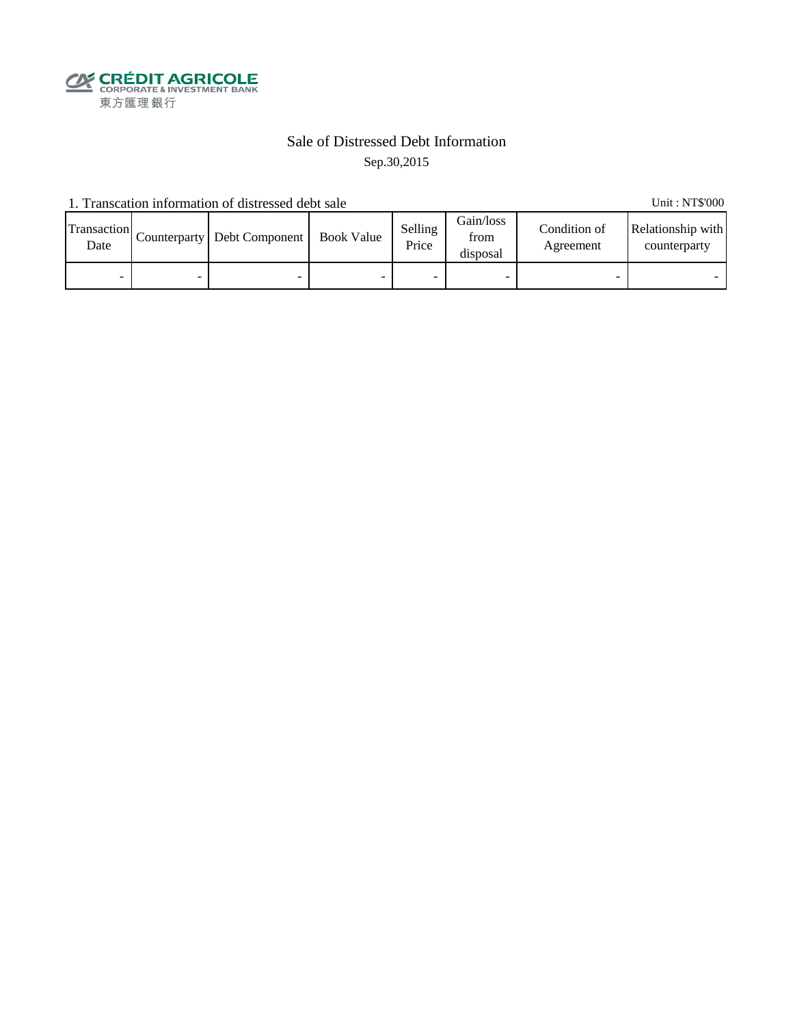

#### Sale of Distressed Debt Information Sep.30,2015

1. Transcation information of distressed debt sale Unit: NT\$'000

| Transaction<br>Date | Counterparty Debt Component | <b>Book Value</b> | Selling<br>Price | Gain/loss<br>from<br>disposal | Condition of<br>Agreement | Relationship with<br>counterparty |
|---------------------|-----------------------------|-------------------|------------------|-------------------------------|---------------------------|-----------------------------------|
| -                   | -                           |                   |                  |                               |                           |                                   |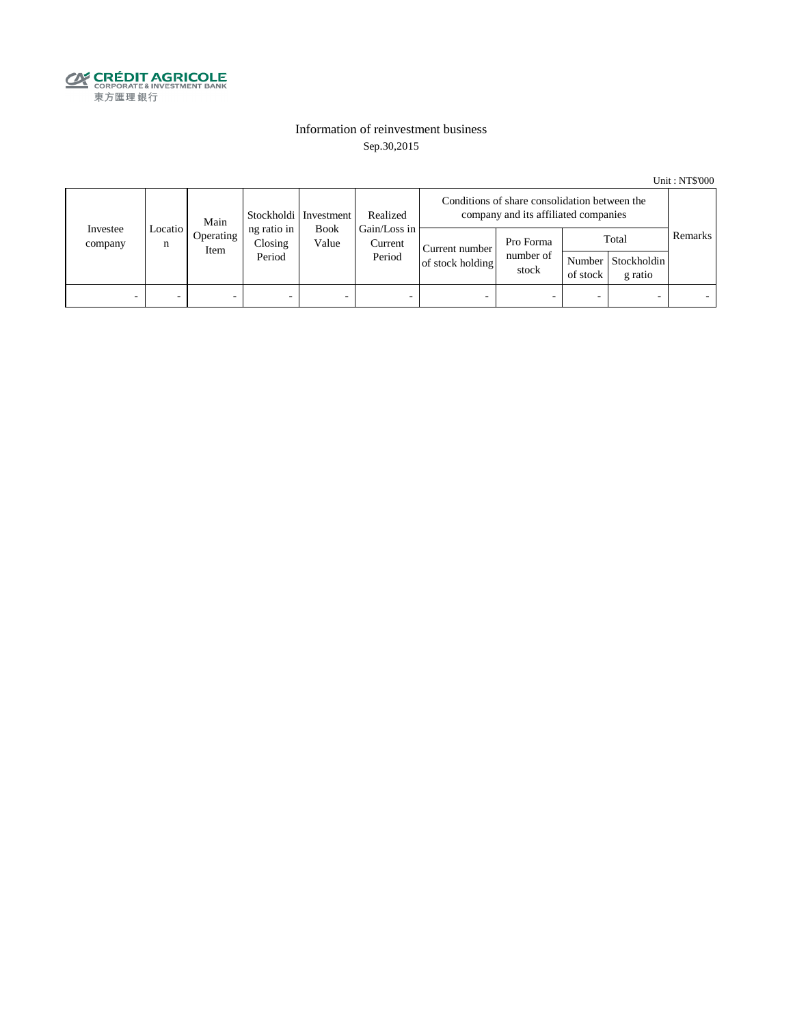

#### Information of reinvestment business Sep.30,2015

Unit : NT\$'000

|                     | Main           |                   | Stockholdi   Investment          | Realized             | Conditions of share consolidation between the<br>company and its affiliated companies |                                    |                                 |                          |                                        |         |
|---------------------|----------------|-------------------|----------------------------------|----------------------|---------------------------------------------------------------------------------------|------------------------------------|---------------------------------|--------------------------|----------------------------------------|---------|
| Investee<br>company | Locatio  <br>n | Operating<br>Item | ng ratio in<br>Closing<br>Period | <b>Book</b><br>Value | Gain/Loss in<br>Current<br>Period                                                     | Current number<br>of stock holding | Pro Forma<br>number of<br>stock | of stock                 | Total<br>Number Stockholdin<br>g ratio | Remarks |
| -                   |                | -                 | $\overline{\phantom{0}}$         | -                    | $\overline{\phantom{a}}$                                                              | -                                  |                                 | $\overline{\phantom{0}}$ |                                        |         |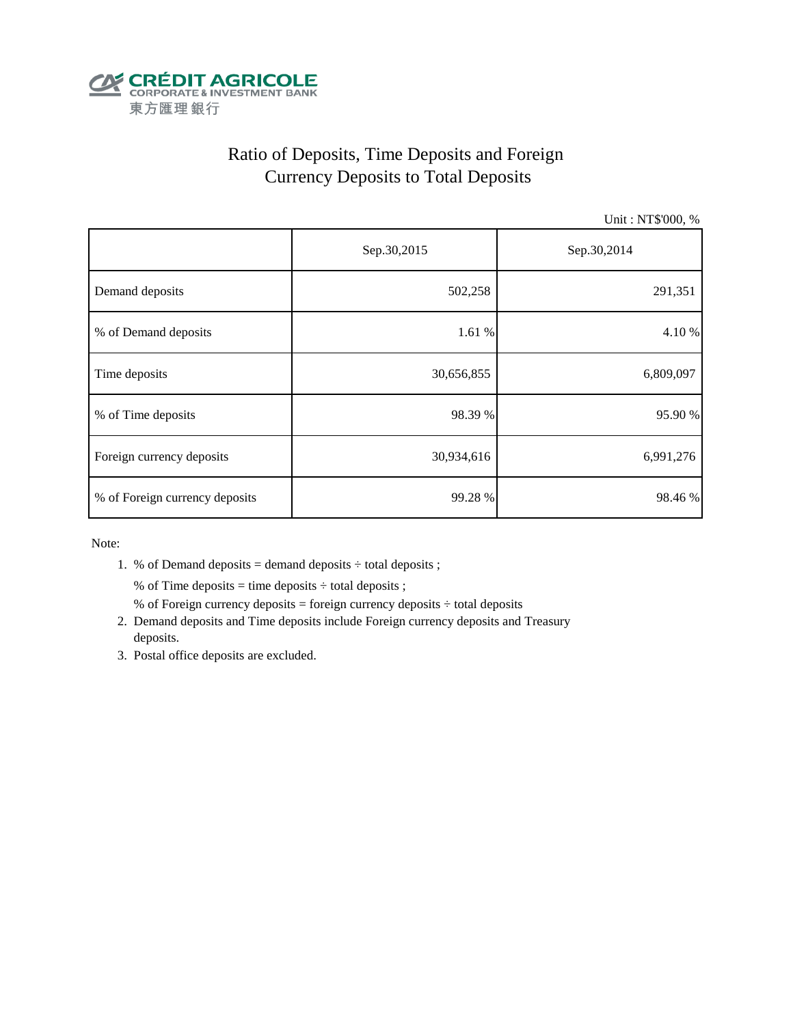

## Ratio of Deposits, Time Deposits and Foreign Currency Deposits to Total Deposits

Unit : NT\$'000, %

|                                | Sep.30,2015 | Sep.30,2014 |  |  |
|--------------------------------|-------------|-------------|--|--|
| Demand deposits                | 502,258     | 291,351     |  |  |
| % of Demand deposits           | 1.61 %      | 4.10%       |  |  |
| Time deposits                  | 30,656,855  | 6,809,097   |  |  |
| % of Time deposits             | 98.39 %     | 95.90 %     |  |  |
| Foreign currency deposits      | 30,934,616  | 6,991,276   |  |  |
| % of Foreign currency deposits | 99.28 %     | 98.46%      |  |  |

Note:

1. % of Demand deposits = demand deposits  $\div$  total deposits ;

% of Time deposits = time deposits  $\div$  total deposits ;

- % of Foreign currency deposits = foreign currency deposits  $\div$  total deposits
- 2. Demand deposits and Time deposits include Foreign currency deposits and Treasury deposits.
- 3. Postal office deposits are excluded.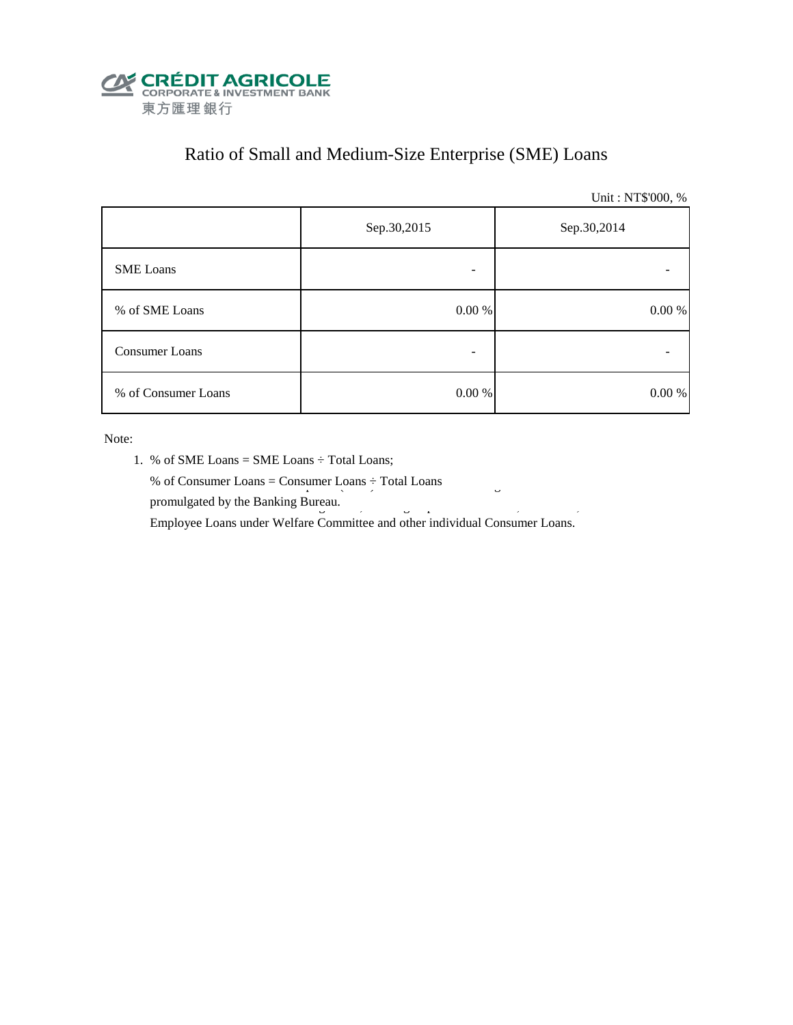

## Ratio of Small and Medium-Size Enterprise (SME) Loans

Unit : NT\$'000, %

|                     | Sep.30,2015 | Sep.30,2014 |
|---------------------|-------------|-------------|
| <b>SME</b> Loans    |             |             |
| % of SME Loans      | 0.00 %      | $0.00\ \%$  |
| Consumer Loans      |             |             |
| % of Consumer Loans | 0.00 %      | 0.00 %      |

Note:

- 1. % of SME Loans = SME Loans ÷ Total Loans;
- % of Consumer Loans = Consumer Loans  $\div$  Total Loans promulgated by the Banking Bureau.  $\frac{3}{5}$

Employee Loans under Welfare Committee and other individual Consumer Loans.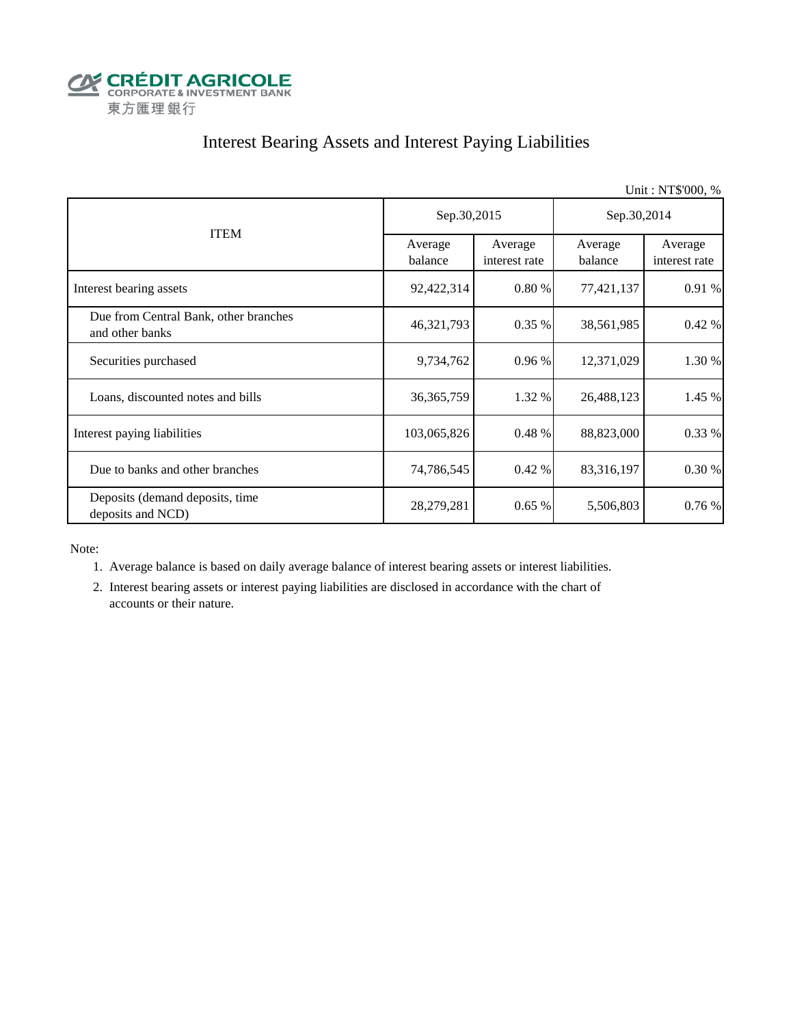

## Interest Bearing Assets and Interest Paying Liabilities

|                                                          |                    |                          |                    | Unit: NT\$'000, %        |  |
|----------------------------------------------------------|--------------------|--------------------------|--------------------|--------------------------|--|
|                                                          | Sep.30,2015        |                          | Sep.30,2014        |                          |  |
| <b>ITEM</b>                                              | Average<br>balance | Average<br>interest rate | Average<br>balance | Average<br>interest rate |  |
| Interest bearing assets                                  | 92,422,314         | 0.80%                    | 77,421,137         | 0.91 %                   |  |
| Due from Central Bank, other branches<br>and other banks | 46, 321, 793       | $0.35\%$                 | 38,561,985         | 0.42%                    |  |
| Securities purchased                                     | 9,734,762          | 0.96%                    | 12,371,029         | 1.30 %                   |  |
| Loans, discounted notes and bills                        | 36, 365, 759       | 1.32 %                   | 26,488,123         | 1.45 %                   |  |
| Interest paying liabilities                              | 103,065,826        | 0.48 %                   | 88,823,000         | 0.33 %                   |  |
| Due to banks and other branches                          | 74,786,545         | $0.42\%$                 | 83,316,197         | 0.30 %                   |  |
| Deposits (demand deposits, time<br>deposits and NCD)     | 28,279,281         | 0.65%                    | 5,506,803          | 0.76%                    |  |

Note:

1. Average balance is based on daily average balance of interest bearing assets or interest liabilities.

 2. Interest bearing assets or interest paying liabilities are disclosed in accordance with the chart of accounts or their nature.